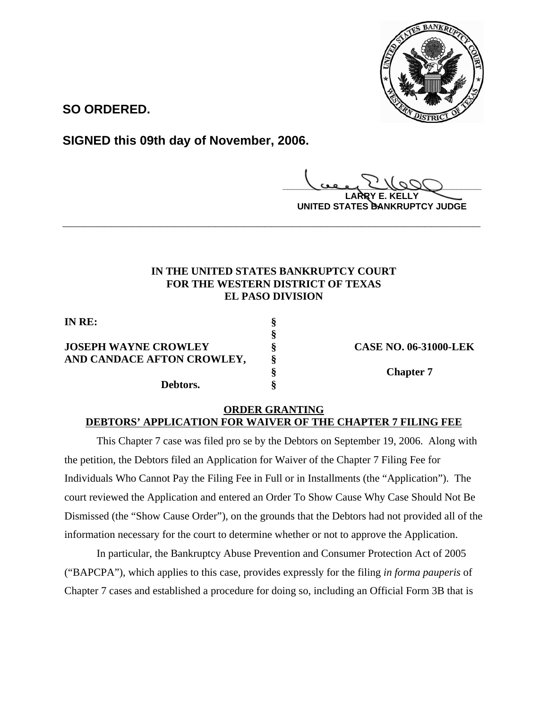

**SO ORDERED.**

**SIGNED this 09th day of November, 2006.**

**\_\_\_\_\_\_\_\_\_\_\_\_\_\_\_\_\_\_\_\_\_\_\_\_\_\_\_\_\_\_\_\_\_\_\_\_\_\_\_\_**

**LARRY E. KELLY UNITED STATES BANKRUPTCY JUDGE**

## **IN THE UNITED STATES BANKRUPTCY COURT FOR THE WESTERN DISTRICT OF TEXAS EL PASO DIVISION**

**\_\_\_\_\_\_\_\_\_\_\_\_\_\_\_\_\_\_\_\_\_\_\_\_\_\_\_\_\_\_\_\_\_\_\_\_\_\_\_\_\_\_\_\_\_\_\_\_\_\_\_\_\_\_\_\_\_\_\_\_**

**§**

**IN RE: § JOSEPH WAYNE CROWLEY § CASE NO. 06-31000-LEK AND CANDACE AFTON CROWLEY, § Debtors. §**

**§ Chapter 7**

## **ORDER GRANTING DEBTORS' APPLICATION FOR WAIVER OF THE CHAPTER 7 FILING FEE**

This Chapter 7 case was filed pro se by the Debtors on September 19, 2006. Along with the petition, the Debtors filed an Application for Waiver of the Chapter 7 Filing Fee for Individuals Who Cannot Pay the Filing Fee in Full or in Installments (the "Application"). The court reviewed the Application and entered an Order To Show Cause Why Case Should Not Be Dismissed (the "Show Cause Order"), on the grounds that the Debtors had not provided all of the information necessary for the court to determine whether or not to approve the Application.

In particular, the Bankruptcy Abuse Prevention and Consumer Protection Act of 2005 ("BAPCPA"), which applies to this case, provides expressly for the filing *in forma pauperis* of Chapter 7 cases and established a procedure for doing so, including an Official Form 3B that is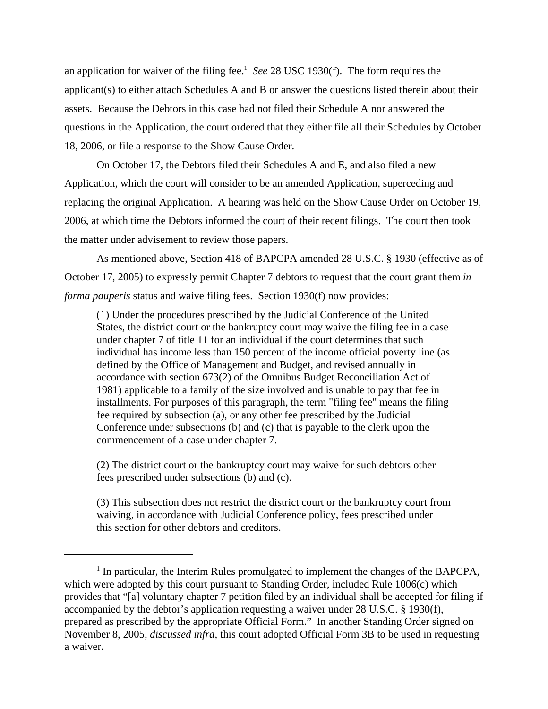an application for waiver of the filing fee.<sup>1</sup> See 28 USC 1930(f). The form requires the applicant(s) to either attach Schedules A and B or answer the questions listed therein about their assets. Because the Debtors in this case had not filed their Schedule A nor answered the questions in the Application, the court ordered that they either file all their Schedules by October 18, 2006, or file a response to the Show Cause Order.

On October 17, the Debtors filed their Schedules A and E, and also filed a new Application, which the court will consider to be an amended Application, superceding and replacing the original Application. A hearing was held on the Show Cause Order on October 19, 2006, at which time the Debtors informed the court of their recent filings. The court then took the matter under advisement to review those papers.

As mentioned above, Section 418 of BAPCPA amended 28 U.S.C. § 1930 (effective as of October 17, 2005) to expressly permit Chapter 7 debtors to request that the court grant them *in forma pauperis* status and waive filing fees. Section 1930(f) now provides:

(1) Under the procedures prescribed by the Judicial Conference of the United States, the district court or the bankruptcy court may waive the filing fee in a case under chapter 7 of title 11 for an individual if the court determines that such individual has income less than 150 percent of the income official poverty line (as defined by the Office of Management and Budget, and revised annually in accordance with section 673(2) of the Omnibus Budget Reconciliation Act of 1981) applicable to a family of the size involved and is unable to pay that fee in installments. For purposes of this paragraph, the term "filing fee" means the filing fee required by subsection (a), or any other fee prescribed by the Judicial Conference under subsections (b) and (c) that is payable to the clerk upon the commencement of a case under chapter 7.

(2) The district court or the bankruptcy court may waive for such debtors other fees prescribed under subsections (b) and (c).

(3) This subsection does not restrict the district court or the bankruptcy court from waiving, in accordance with Judicial Conference policy, fees prescribed under this section for other debtors and creditors.

<sup>&</sup>lt;sup>1</sup> In particular, the Interim Rules promulgated to implement the changes of the BAPCPA, which were adopted by this court pursuant to Standing Order, included Rule 1006(c) which provides that "[a] voluntary chapter 7 petition filed by an individual shall be accepted for filing if accompanied by the debtor's application requesting a waiver under 28 U.S.C. § 1930(f), prepared as prescribed by the appropriate Official Form." In another Standing Order signed on November 8, 2005, *discussed infra,* this court adopted Official Form 3B to be used in requesting a waiver.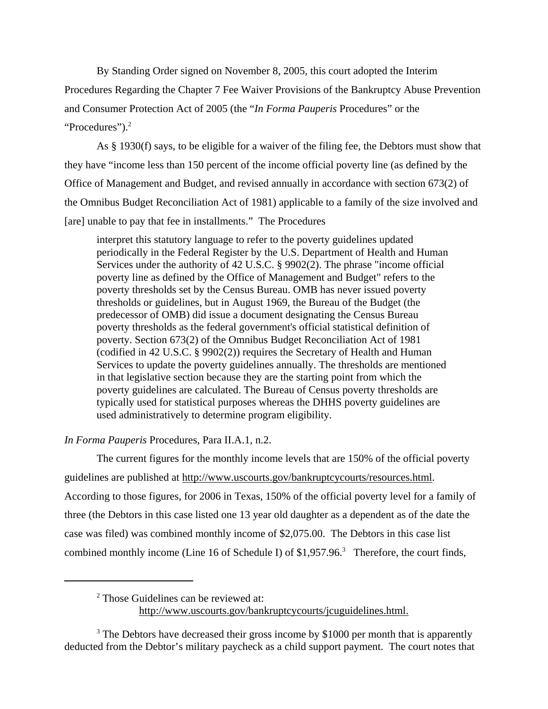By Standing Order signed on November 8, 2005, this court adopted the Interim Procedures Regarding the Chapter 7 Fee Waiver Provisions of the Bankruptcy Abuse Prevention and Consumer Protection Act of 2005 (the "*In Forma Pauperis* Procedures" or the "Procedures").<sup>2</sup>

As § 1930(f) says, to be eligible for a waiver of the filing fee, the Debtors must show that they have "income less than 150 percent of the income official poverty line (as defined by the Office of Management and Budget, and revised annually in accordance with section 673(2) of the Omnibus Budget Reconciliation Act of 1981) applicable to a family of the size involved and [are] unable to pay that fee in installments." The Procedures

interpret this statutory language to refer to the poverty guidelines updated periodically in the Federal Register by the U.S. Department of Health and Human Services under the authority of 42 U.S.C. § 9902(2). The phrase "income official poverty line as defined by the Office of Management and Budget" refers to the poverty thresholds set by the Census Bureau. OMB has never issued poverty thresholds or guidelines, but in August 1969, the Bureau of the Budget (the predecessor of OMB) did issue a document designating the Census Bureau poverty thresholds as the federal government's official statistical definition of poverty. Section 673(2) of the Omnibus Budget Reconciliation Act of 1981 (codified in 42 U.S.C. § 9902(2)) requires the Secretary of Health and Human Services to update the poverty guidelines annually. The thresholds are mentioned in that legislative section because they are the starting point from which the poverty guidelines are calculated. The Bureau of Census poverty thresholds are typically used for statistical purposes whereas the DHHS poverty guidelines are used administratively to determine program eligibility.

## *In Forma Pauperis* Procedures, Para II.A.1, n.2.

The current figures for the monthly income levels that are 150% of the official poverty guidelines are published at http://www.uscourts.gov/bankruptcycourts/resources.html. According to those figures, for 2006 in Texas, 150% of the official poverty level for a family of three (the Debtors in this case listed one 13 year old daughter as a dependent as of the date the case was filed) was combined monthly income of \$2,075.00. The Debtors in this case list combined monthly income (Line 16 of Schedule I) of \$1,957.96.<sup>3</sup> Therefore, the court finds,

<sup>2</sup> Those Guidelines can be reviewed at:

http://www.uscourts.gov/bankruptcycourts/jcuguidelines.html.

<sup>3</sup> The Debtors have decreased their gross income by \$1000 per month that is apparently deducted from the Debtor's military paycheck as a child support payment. The court notes that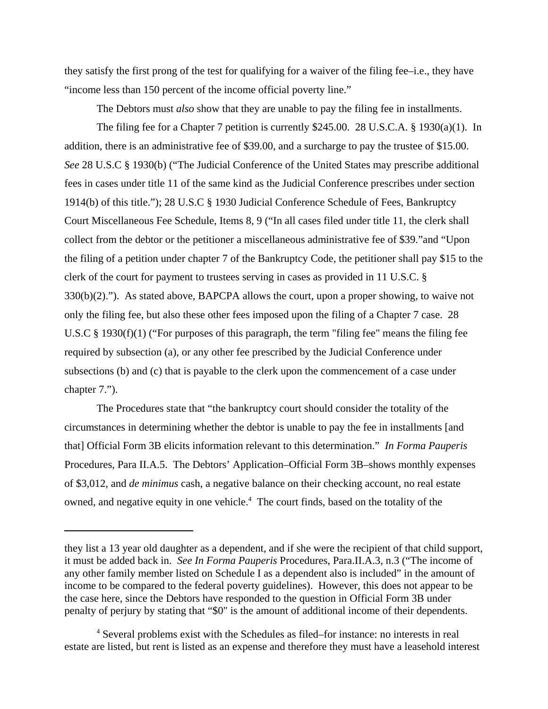they satisfy the first prong of the test for qualifying for a waiver of the filing fee–i.e., they have "income less than 150 percent of the income official poverty line."

The Debtors must *also* show that they are unable to pay the filing fee in installments.

The filing fee for a Chapter 7 petition is currently \$245.00. 28 U.S.C.A. § 1930(a)(1). In addition, there is an administrative fee of \$39.00, and a surcharge to pay the trustee of \$15.00. *See* 28 U.S.C § 1930(b) ("The Judicial Conference of the United States may prescribe additional fees in cases under title 11 of the same kind as the Judicial Conference prescribes under section 1914(b) of this title."); 28 U.S.C § 1930 Judicial Conference Schedule of Fees, Bankruptcy Court Miscellaneous Fee Schedule, Items 8, 9 ("In all cases filed under title 11, the clerk shall collect from the debtor or the petitioner a miscellaneous administrative fee of \$39."and "Upon the filing of a petition under chapter 7 of the Bankruptcy Code, the petitioner shall pay \$15 to the clerk of the court for payment to trustees serving in cases as provided in 11 U.S.C. §  $330(b)(2)$ ."). As stated above, BAPCPA allows the court, upon a proper showing, to waive not only the filing fee, but also these other fees imposed upon the filing of a Chapter 7 case. 28 U.S.C § 1930(f)(1) ("For purposes of this paragraph, the term "filing fee" means the filing fee required by subsection (a), or any other fee prescribed by the Judicial Conference under subsections (b) and (c) that is payable to the clerk upon the commencement of a case under chapter 7.").

The Procedures state that "the bankruptcy court should consider the totality of the circumstances in determining whether the debtor is unable to pay the fee in installments [and that] Official Form 3B elicits information relevant to this determination." *In Forma Pauperis* Procedures, Para II.A.5. The Debtors' Application–Official Form 3B–shows monthly expenses of \$3,012, and *de minimus* cash, a negative balance on their checking account, no real estate owned, and negative equity in one vehicle.<sup>4</sup> The court finds, based on the totality of the

they list a 13 year old daughter as a dependent, and if she were the recipient of that child support, it must be added back in. *See In Forma Pauperis* Procedures, Para.II.A.3, n.3 ("The income of any other family member listed on Schedule I as a dependent also is included" in the amount of income to be compared to the federal poverty guidelines). However, this does not appear to be the case here, since the Debtors have responded to the question in Official Form 3B under penalty of perjury by stating that "\$0" is the amount of additional income of their dependents.

<sup>&</sup>lt;sup>4</sup> Several problems exist with the Schedules as filed–for instance: no interests in real estate are listed, but rent is listed as an expense and therefore they must have a leasehold interest